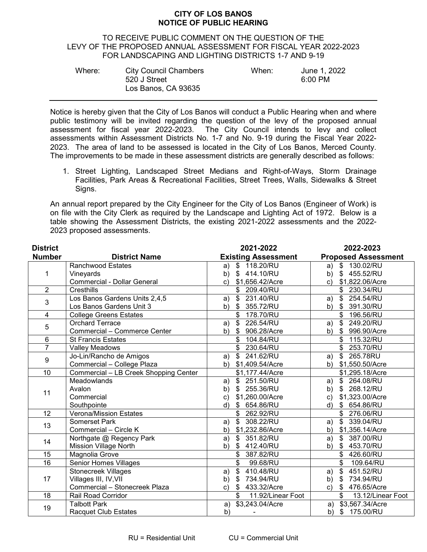## **CITY OF LOS BANOS NOTICE OF PUBLIC HEARING**

## TO RECEIVE PUBLIC COMMENT ON THE QUESTION OF THE LEVY OF THE PROPOSED ANNUAL ASSESSMENT FOR FISCAL YEAR 2022-2023 FOR LANDSCAPING AND LIGHTING DISTRICTS 1-7 AND 9-19

| Where: | <b>City Council Chambers</b> | When: | June 1, 2022 |
|--------|------------------------------|-------|--------------|
|        | 520 J Street                 |       | 6:00 PM      |
|        | Los Banos, CA 93635          |       |              |

Notice is hereby given that the City of Los Banos will conduct a Public Hearing when and where public testimony will be invited regarding the question of the levy of the proposed annual assessment for fiscal year 2022-2023. The City Council intends to levy and collect assessments within Assessment Districts No. 1-7 and No. 9-19 during the Fiscal Year 2022- 2023. The area of land to be assessed is located in the City of Los Banos, Merced County. The improvements to be made in these assessment districts are generally described as follows:

1. Street Lighting, Landscaped Street Medians and Right-of-Ways, Storm Drainage Facilities, Park Areas & Recreational Facilities, Street Trees, Walls, Sidewalks & Street Sians.

An annual report prepared by the City Engineer for the City of Los Banos (Engineer of Work) is on file with the City Clerk as required by the Landscape and Lighting Act of 1972. Below is a table showing the Assessment Districts, the existing 2021-2022 assessments and the 2022- 2023 proposed assessments.

| <b>District</b> |                                       | 2021-2022                                      | 2022-2023                                                 |
|-----------------|---------------------------------------|------------------------------------------------|-----------------------------------------------------------|
| <b>Number</b>   | <b>District Name</b>                  | <b>Existing Assessment</b>                     | <b>Proposed Assessment</b>                                |
| 1               | <b>Ranchwood Estates</b>              | 118.20/RU<br>\$<br>a)                          | \$<br>130.02/RU<br>a)                                     |
|                 | Vineyards                             | \$414.10/RU<br>b)                              | 455.52/RU<br>\$<br>b)                                     |
|                 | <b>Commercial - Dollar General</b>    | \$1,656.42/Acre<br>$\mathbf{c}$                | \$1,822.06/Acre<br>$\mathsf{c})$                          |
| $\overline{2}$  | Cresthills                            | \$ 209.40/RU                                   | \$<br>230.34/RU                                           |
| 3               | Los Banos Gardens Units 2,4,5         | 231.40/RU<br>\$<br>a)                          | 254.54/RU<br>\$<br>a)                                     |
|                 | Los Banos Gardens Unit 3              | $\mathfrak{F}$<br>355.72/RU<br>b)              | 391.30/RU<br>\$<br>b)                                     |
| $\overline{4}$  | <b>College Greens Estates</b>         | \$ 178.70/RU                                   | \$<br>196.56/RU                                           |
| 5               | <b>Orchard Terrace</b>                | \$<br>226.54/RU<br>a)                          | \$<br>249.20/RU<br>a)                                     |
|                 | Commercial - Commerce Center          | $\mathfrak{P}$<br>906.28/Acre<br>b)            | $\boldsymbol{\mathsf{S}}$<br>996.90/Acre<br>b)            |
| $\overline{6}$  | <b>St Francis Estates</b>             | \$<br>104.84/RU                                | \$<br>115.32/RU                                           |
| $\overline{7}$  | <b>Valley Meadows</b>                 | \$<br>230.64/RU                                | \$<br>253.70/RU                                           |
|                 | Jo-Lin/Rancho de Amigos               | $\overline{\mathcal{S}}$<br>241.62/RU<br>a)    | \$<br>265.78RU<br>a)                                      |
| 9               | Commercial - College Plaza            | \$1,409.54/Acre<br>b)                          | \$1,550.50/Acre<br>b)                                     |
| 10              | Commercial - LB Creek Shopping Center | \$1,177.44/Acre                                | \$1,295.18/Acre                                           |
| 11              | Meadowlands                           | \$251.50/RU<br>a)                              | \$264.08/RU<br>a)                                         |
|                 | Avalon                                | \$255.36/RU<br>b)                              | 268.12/RU<br>\$<br>b)                                     |
|                 | Commercial                            | \$1,260.00/Acre<br>C)                          | \$1,323.00/Acre<br>c)                                     |
|                 | Southpointe                           | 654.86/RU<br>d)                                | d)<br>654.86/RU<br>\$                                     |
| 12              | <b>Verona/Mission Estates</b>         | \$<br>262.92/RU                                | $\mathfrak{S}$<br>276.06/RU                               |
| 13              | Somerset Park                         | 308.22/RU<br>\$<br>a)                          | 339.04/RU<br>$\mathbb{S}$<br>a)                           |
|                 | Commercial - Circle K                 | \$1,232.86/Acre<br>b)                          | \$1,356.14/Acre<br>b)                                     |
| 14              | Northgate @ Regency Park              | 351.82/RU<br>\$<br>a)                          | \$<br>387.00/RU<br>a)                                     |
|                 | <b>Mission Village North</b>          | b)<br>\$<br>412.40/RU                          | b)<br>$\mathfrak{L}$<br>453.70/RU                         |
| 15              | Magnolia Grove                        | 387.82/RU                                      | \$<br>426.60/RU                                           |
| $\overline{16}$ | <b>Senior Homes Villages</b>          | \$<br>99.68/RU                                 | \$<br>109.64/RU                                           |
| 17              | <b>Stonecreek Villages</b>            | \$<br>410.48/RU<br>a)                          | $\boldsymbol{\mathsf{S}}$<br>451.52/RU<br>a)              |
|                 | Villages III, IV, VII                 | 734.94/RU<br>b)<br>\$                          | 734.94/RU<br>$\mathfrak{L}$<br>b)                         |
|                 | Commercial - Stonecreek Plaza         | $\boldsymbol{\mathsf{S}}$<br>433.32/Acre<br>c) | $\boldsymbol{\mathsf{S}}$<br>476.65/Acre<br>$\mathsf{c})$ |
| 18              | Rail Road Corridor                    | \$<br>11.92/Linear Foot                        | \$<br>13.12/Linear Foot                                   |
| 19              | <b>Talbott Park</b>                   | \$3,243.04/Acre<br>a)                          | \$3,567.34/Acre<br>a)                                     |
|                 | <b>Racquet Club Estates</b>           | b)                                             | b)<br>\$175.00/RU                                         |